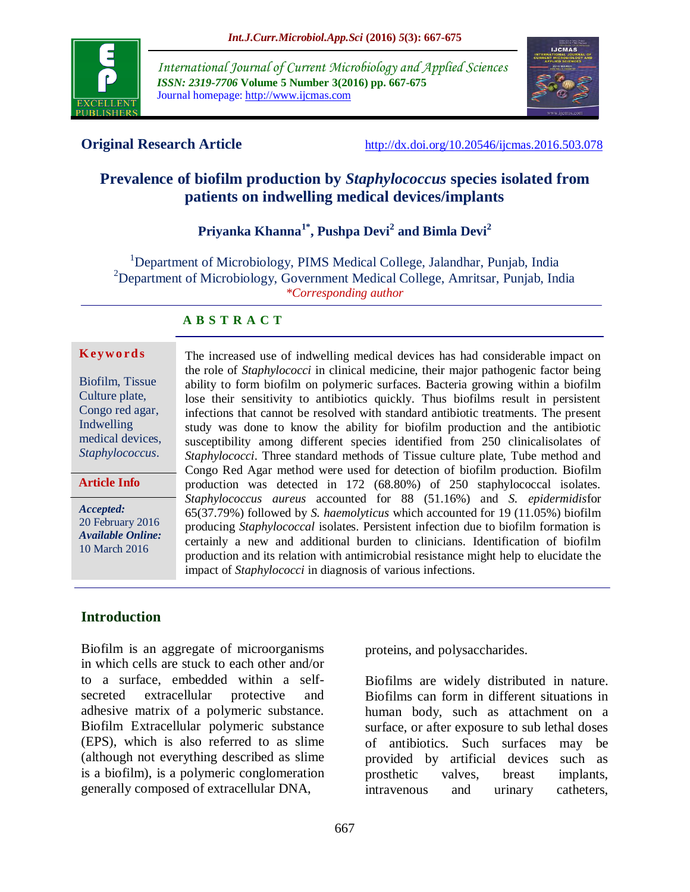

*International Journal of Current Microbiology and Applied Sciences ISSN: 2319-7706* **Volume 5 Number 3(2016) pp. 667-675** Journal homepage: http://www.ijcmas.com



**Original Research Article** <http://dx.doi.org/10.20546/ijcmas.2016.503.078>

# **Prevalence of biofilm production by** *Staphylococcus* **species isolated from patients on indwelling medical devices/implants**

# **Priyanka Khanna1\* , Pushpa Devi<sup>2</sup> and Bimla Devi<sup>2</sup>**

<sup>1</sup>Department of Microbiology, PIMS Medical College, Jalandhar, Punjab, India <sup>2</sup>Department of Microbiology, Government Medical College, Amritsar, Punjab, India *\*Corresponding author*

#### **A B S T R A C T**

#### **K ey w o rd s**

Biofilm, Tissue Culture plate, Congo red agar, Indwelling medical devices, *Staphylococcus*.

#### **Article Info**

*Accepted:*  20 February 2016 *Available Online:* 10 March 2016

The increased use of indwelling medical devices has had considerable impact on the role of *Staphylococci* in clinical medicine, their major pathogenic factor being ability to form biofilm on polymeric surfaces. Bacteria growing within a biofilm lose their sensitivity to antibiotics quickly. Thus biofilms result in persistent infections that cannot be resolved with standard antibiotic treatments. The present study was done to know the ability for biofilm production and the antibiotic susceptibility among different species identified from 250 clinicalisolates of *Staphylococci*. Three standard methods of Tissue culture plate, Tube method and Congo Red Agar method were used for detection of biofilm production. Biofilm production was detected in 172 (68.80%) of 250 staphylococcal isolates. *Staphylococcus aureus* accounted for 88 (51.16%) and *S. epidermidis*for 65(37.79%) followed by *S. haemolyticus* which accounted for 19 (11.05%) biofilm producing *Staphylococcal* isolates. Persistent infection due to biofilm formation is certainly a new and additional burden to clinicians. Identification of biofilm production and its relation with antimicrobial resistance might help to elucidate the impact of *Staphylococci* in diagnosis of various infections.

## **Introduction**

Biofilm is an aggregate of microorganisms in which cells are stuck to each other and/or to a surface, embedded within a selfsecreted extracellular protective and adhesive matrix of a polymeric substance. Biofilm Extracellular polymeric substance (EPS), which is also referred to as slime (although not everything described as [slime](http://en.wikipedia.org/wiki/Slime) is a biofilm), is a [polymeric](http://en.wikipedia.org/wiki/Polymer) conglomeration generally composed of extracellular [DNA,](http://en.wikipedia.org/wiki/DNA)

[proteins,](http://en.wikipedia.org/wiki/Protein) and [polysaccharides.](http://en.wikipedia.org/wiki/Polysaccharide)

Biofilms are widely distributed in nature. Biofilms can form in different situations in human body, such as attachment on a surface, or after exposure to sub lethal doses of antibiotics. Such surfaces may be provided by artificial devices such as prosthetic valves, breast implants, intravenous and urinary catheters,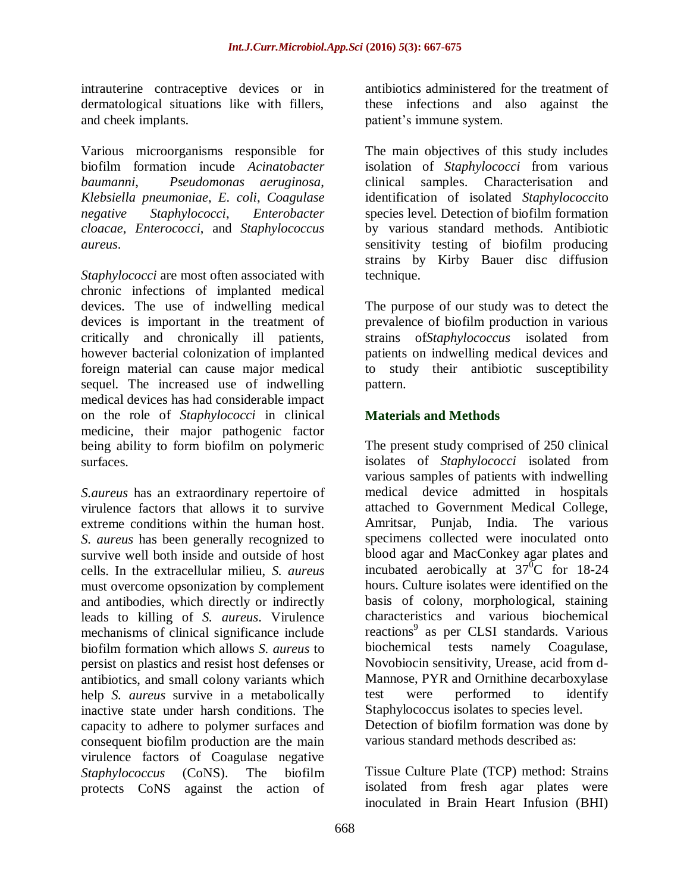intrauterine contraceptive devices or in dermatological situations like with fillers, and cheek implants.

Various microorganisms responsible for biofilm formation incude *Acinatobacter baumanni*, *Pseudomonas aeruginosa*, *Klebsiella pneumoniae*, *E. coli*, *Coagulase negative Staphylococci*, *Enterobacter cloacae*, *Enterococci*, and *Staphylococcus aureus*.

*Staphylococci* are most often associated with chronic infections of implanted medical devices. The use of indwelling medical devices is important in the treatment of critically and chronically ill patients, however bacterial colonization of implanted foreign material can cause major medical sequel. The increased use of indwelling medical devices has had considerable impact on the role of *Staphylococci* in clinical medicine, their major pathogenic factor being ability to form biofilm on polymeric surfaces.

*S.aureus* has an extraordinary repertoire of virulence factors that allows it to survive extreme conditions within the human host. *S. aureus* has been generally recognized to survive well both inside and outside of host cells. In the extracellular milieu, *S. aureus* must overcome opsonization by complement and antibodies, which directly or indirectly leads to killing of *S. aureus*. Virulence mechanisms of clinical significance include biofilm formation which allows *S. aureus* to persist on plastics and resist host defenses or antibiotics, and small colony variants which help *S. aureus* survive in a metabolically inactive state under harsh conditions. The capacity to adhere to polymer surfaces and consequent biofilm production are the main virulence factors of Coagulase negative *Staphylococcus* (CoNS). The biofilm protects CoNS against the action of

antibiotics administered for the treatment of these infections and also against the patient's immune system.

The main objectives of this study includes isolation of *Staphylococci* from various clinical samples. Characterisation and identification of isolated *Staphylococci*to species level. Detection of biofilm formation by various standard methods. Antibiotic sensitivity testing of biofilm producing strains by Kirby Bauer disc diffusion technique.

The purpose of our study was to detect the prevalence of biofilm production in various strains of*Staphylococcus* isolated from patients on indwelling medical devices and to study their antibiotic susceptibility pattern.

# **Materials and Methods**

The present study comprised of 250 clinical isolates of *Staphylococci* isolated from various samples of patients with indwelling medical device admitted in hospitals attached to Government Medical College, Amritsar, Punjab, India. The various specimens collected were inoculated onto blood agar and MacConkey agar plates and incubated aerobically at  $37^{\circ}$ C for 18-24 hours. Culture isolates were identified on the basis of colony, morphological, staining characteristics and various biochemical reactions<sup>9</sup> as per CLSI standards. Various biochemical tests namely Coagulase, Novobiocin sensitivity, Urease, acid from d-Mannose, PYR and Ornithine decarboxylase test were performed to identify Staphylococcus isolates to species level. Detection of biofilm formation was done by various standard methods described as:

Tissue Culture Plate (TCP) method: Strains isolated from fresh agar plates were inoculated in Brain Heart Infusion (BHI)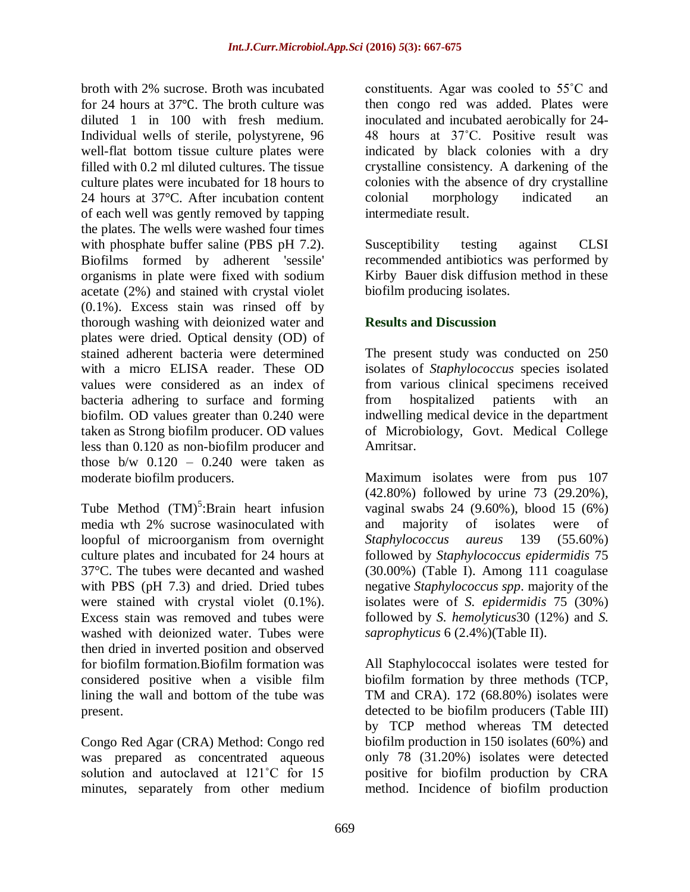broth with 2% sucrose. Broth was incubated for 24 hours at 37℃. The broth culture was diluted 1 in 100 with fresh medium. Individual wells of sterile, polystyrene, 96 well-flat bottom tissue culture plates were filled with 0.2 ml diluted cultures. The tissue culture plates were incubated for 18 hours to 24 hours at 37°C. After incubation content of each well was gently removed by tapping the plates. The wells were washed four times with phosphate buffer saline (PBS pH 7.2). Biofilms formed by adherent 'sessile' organisms in plate were fixed with sodium acetate (2%) and stained with crystal violet (0.1%). Excess stain was rinsed off by thorough washing with deionized water and plates were dried. Optical density (OD) of stained adherent bacteria were determined with a micro ELISA reader. These OD values were considered as an index of bacteria adhering to surface and forming biofilm. OD values greater than 0.240 were taken as Strong biofilm producer. OD values less than 0.120 as non-biofilm producer and those  $b/w$  0.120 – 0.240 were taken as moderate biofilm producers.

Tube Method  $(TM)^5$ :Brain heart infusion media wth 2% sucrose wasinoculated with loopful of microorganism from overnight culture plates and incubated for 24 hours at 37°C. The tubes were decanted and washed with PBS (pH 7.3) and dried. Dried tubes were stained with crystal violet (0.1%). Excess stain was removed and tubes were washed with deionized water. Tubes were then dried in inverted position and observed for biofilm formation.Biofilm formation was considered positive when a visible film lining the wall and bottom of the tube was present.

Congo Red Agar (CRA) Method: Congo red was prepared as concentrated aqueous solution and autoclaved at 121°C for 15 minutes, separately from other medium constituents. Agar was cooled to 55˚C and then congo red was added. Plates were inoculated and incubated aerobically for 24- 48 hours at 37˚C. Positive result was indicated by black colonies with a dry crystalline consistency. A darkening of the colonies with the absence of dry crystalline colonial morphology indicated an intermediate result.

Susceptibility testing against CLSI recommended antibiotics was performed by Kirby Bauer disk diffusion method in these biofilm producing isolates.

# **Results and Discussion**

The present study was conducted on 250 isolates of *Staphylococcus* species isolated from various clinical specimens received from hospitalized patients with an indwelling medical device in the department of Microbiology, Govt. Medical College Amritsar.

Maximum isolates were from pus 107 (42.80%) followed by urine 73 (29.20%), vaginal swabs 24 (9.60%), blood 15 (6%) and majority of isolates were of *Staphylococcus aureus* 139 (55.60%) followed by *Staphylococcus epidermidis* 75 (30.00%) (Table I). Among 111 coagulase negative *Staphylococcus spp*. majority of the isolates were of *S. epidermidis* 75 (30%) followed by *S. hemolyticus*30 (12%) and *S. saprophyticus* 6 (2.4%)(Table II).

All Staphylococcal isolates were tested for biofilm formation by three methods (TCP, TM and CRA). 172 (68.80%) isolates were detected to be biofilm producers (Table III) by TCP method whereas TM detected biofilm production in 150 isolates (60%) and only 78 (31.20%) isolates were detected positive for biofilm production by CRA method. Incidence of biofilm production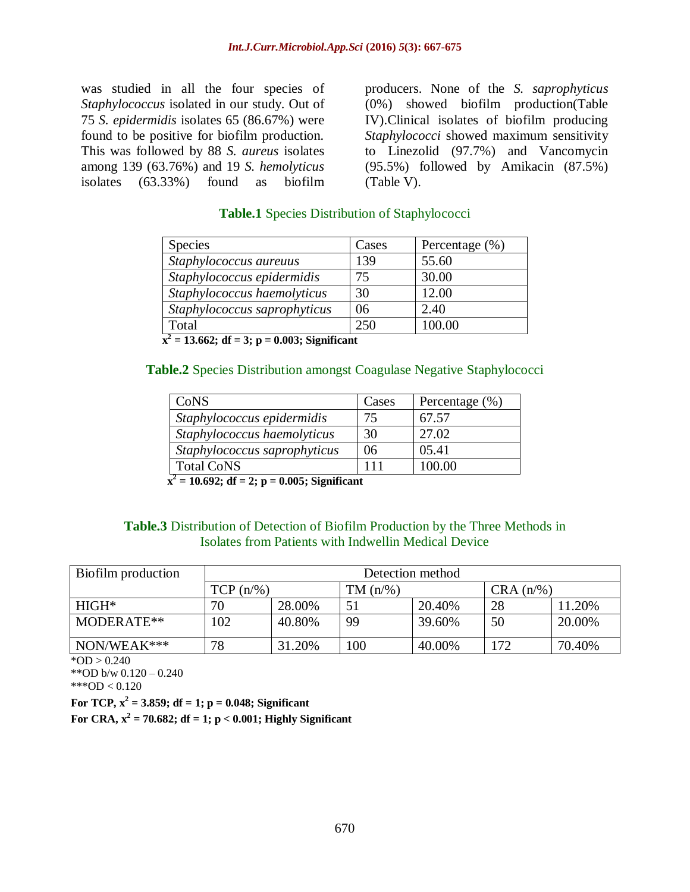was studied in all the four species of *Staphylococcus* isolated in our study. Out of 75 *S. epidermidis* isolates 65 (86.67%) were found to be positive for biofilm production. This was followed by 88 *S. aureus* isolates among 139 (63.76%) and 19 *S. hemolyticus* isolates (63.33%) found as biofilm

producers. None of the *S. saprophyticus* (0%) showed biofilm production(Table IV).Clinical isolates of biofilm producing *Staphylococci* showed maximum sensitivity to Linezolid (97.7%) and Vancomycin (95.5%) followed by Amikacin (87.5%) (Table V).

## **Table.1** Species Distribution of Staphylococci

| <b>Species</b>               | Cases | Percentage $(\% )$ |
|------------------------------|-------|--------------------|
| Staphylococcus aureuus       | 139   | 55.60              |
| Staphylococcus epidermidis   | 75    | 30.00              |
| Staphylococcus haemolyticus  | 30    | 12.00              |
| Staphylococcus saprophyticus | 06    | 2.40               |
| Total                        | 250   | 100.00             |

 $x^2 = 13.662$ ; df = 3; p = 0.003; Significant

#### **Table.2** Species Distribution amongst Coagulase Negative Staphylococci

| CoNS                         | Cases | Percentage $(\% )$ |
|------------------------------|-------|--------------------|
| Staphylococcus epidermidis   | 75    | 67.57              |
| Staphylococcus haemolyticus  | 30    | 27.02              |
| Staphylococcus saprophyticus | 06    | 05.41              |
| <b>Total CoNS</b>            |       | 100.00             |

 $\overline{x^2}$  = 10.692; df = 2; p = 0.005; Significant

## **Table.3** Distribution of Detection of Biofilm Production by the Three Methods in Isolates from Patients with Indwellin Medical Device

| Biofilm production | Detection method |        |             |        |             |        |  |  |
|--------------------|------------------|--------|-------------|--------|-------------|--------|--|--|
|                    | $TCP (n/\%)$     |        | $TM (n/\%)$ |        | $CRA(n/\%)$ |        |  |  |
| $HIGH*$            | 70               | 28.00% | 51          | 20.40% | 28          | 11.20% |  |  |
| MODERATE**         | 102              | 40.80% | 99          | 39.60% | 50          | 20.00% |  |  |
| NON/WEAK***        | 78               | 31.20% | 100         | 40.00% | 172         | 70.40% |  |  |

 $*OD > 0.240$ 

\*\*OD b/w 0.120 – 0.240

\*\*\*OD <  $0.120$ 

**For TCP,**  $x^2 = 3.859$ **; df = 1; p = 0.048; Significant** 

**For CRA,**  $x^2 = 70.682$ **; df = 1; p < 0.001; Highly Significant**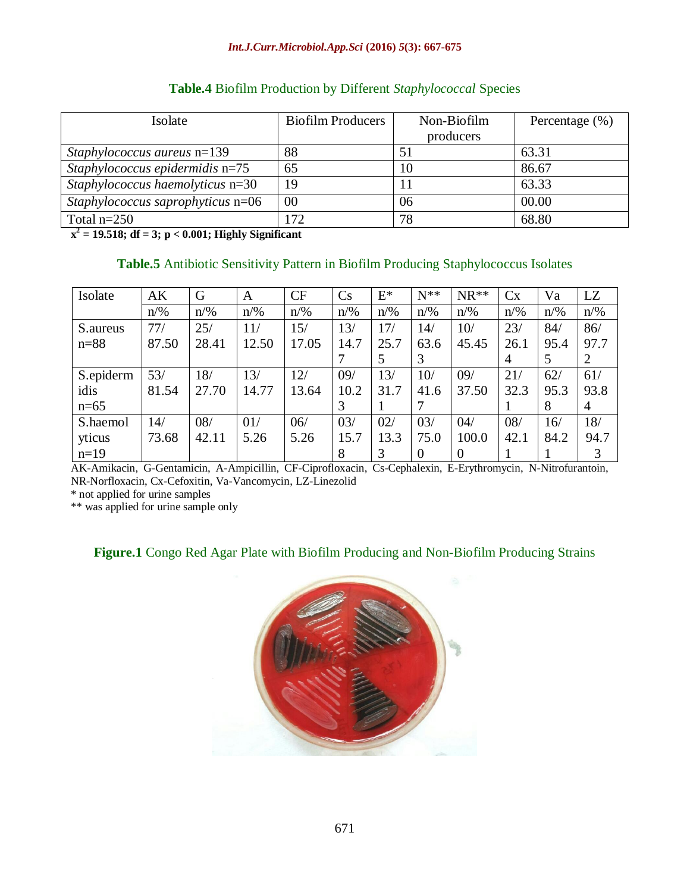| Isolate                              | <b>Biofilm Producers</b> | Non-Biofilm | Percentage $(\% )$ |  |
|--------------------------------------|--------------------------|-------------|--------------------|--|
|                                      |                          | producers   |                    |  |
| <i>Staphylococcus aureus</i> $n=139$ | 88                       |             | 63.31              |  |
| Staphylococcus epidermidis $n=75$    | 65                       | 10          | 86.67              |  |
| Staphylococcus haemolyticus $n=30$   | 19                       |             | 63.33              |  |
| Staphylococcus saprophyticus n=06    | 00                       | 06          | 00.00              |  |
| Total $n=250$                        | 172                      | 78          | 68.80              |  |

## **Table.4** Biofilm Production by Different *Staphylococcal* Species

**x 2 = 19.518; df = 3; p < 0.001; Highly Significant**

## **Table.5** Antibiotic Sensitivity Pattern in Biofilm Producing Staphylococcus Isolates

| Isolate   | AK             | G              | A              | CF             | Cs             | $E^*$          | $N^{**}$       | $NR**$         | Cx             | Va             | <b>LZ</b>      |
|-----------|----------------|----------------|----------------|----------------|----------------|----------------|----------------|----------------|----------------|----------------|----------------|
|           | $n\frac{9}{6}$ | $n\frac{9}{6}$ | $n\frac{9}{6}$ | $n\frac{9}{6}$ | $n\frac{9}{6}$ | $n\frac{9}{6}$ | $n\frac{9}{6}$ | $n\frac{9}{6}$ | $n\frac{9}{6}$ | $n\frac{9}{6}$ | $n\frac{9}{6}$ |
| S.aureus  | 77/            | 25/            | 11/            | 15/            | 13/            | 17/            | 14/            | 10/            | 23/            | 84/            | 86/            |
| $n = 88$  | 87.50          | 28.41          | 12.50          | 17.05          | 14.7           | 25.7           | 63.6           | 45.45          | 26.1           | 95.4           | 97.7           |
|           |                |                |                |                |                | 5              | 3              |                | 4              | 5              | 2              |
| S.epiderm | 53/            | 18/            | 13/            | 12/            | 09/            | 13/            | 10/            | 09/            | 21/            | 62/            | 61/            |
| idis      | 81.54          | 27.70          | 14.77          | 13.64          | 10.2           | 31.7           | 41.6           | 37.50          | 32.3           | 95.3           | 93.8           |
| $n=65$    |                |                |                |                | 3              |                |                |                |                | 8              | $\overline{4}$ |
| S.haemol  | 14/            | 08/            | 01/            | 06/            | 03/            | 02/            | 03/            | 04/            | 08/            | 16/            | 18/            |
| yticus    | 73.68          | 42.11          | 5.26           | 5.26           | 15.7           | 13.3           | 75.0           | 100.0          | 42.1           | 84.2           | 94.7           |
| $n=19$    |                |                |                |                | 8              | 3              | $\Omega$       | 0              |                |                |                |

AK-Amikacin, G-Gentamicin, A-Ampicillin, CF-Ciprofloxacin, Cs-Cephalexin, E-Erythromycin, N-Nitrofurantoin, NR-Norfloxacin, Cx-Cefoxitin, Va-Vancomycin, LZ-Linezolid

\* not applied for urine samples

\*\* was applied for urine sample only

## **Figure.1** Congo Red Agar Plate with Biofilm Producing and Non-Biofilm Producing Strains

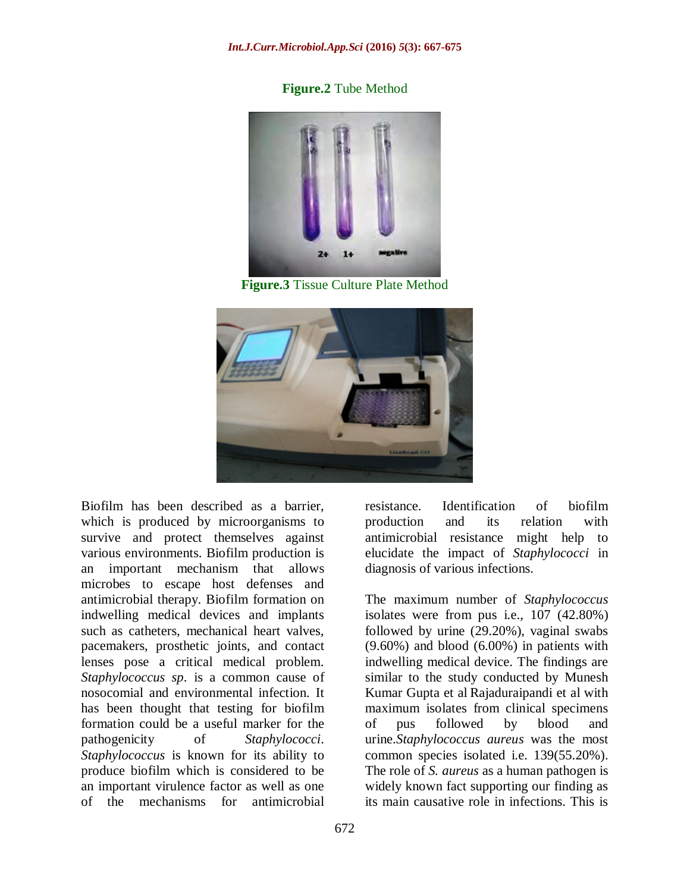**Figure.2** Tube Method



**Figure.3** Tissue Culture Plate Method



Biofilm has been described as a barrier, which is produced by microorganisms to survive and protect themselves against various environments. Biofilm production is an important mechanism that allows microbes to escape host defenses and antimicrobial therapy. Biofilm formation on indwelling medical devices and implants such as catheters, mechanical heart valves, pacemakers, prosthetic joints, and contact lenses pose a critical medical problem. *Staphylococcus sp*. is a common cause of nosocomial and environmental infection. It has been thought that testing for biofilm formation could be a useful marker for the pathogenicity of *Staphylococci*. *Staphylococcus* is known for its ability to produce biofilm which is considered to be an important virulence factor as well as one of the mechanisms for antimicrobial

resistance. Identification of biofilm production and its relation with antimicrobial resistance might help to elucidate the impact of *Staphylococci* in diagnosis of various infections.

The maximum number of *Staphylococcus*  isolates were from pus i.e., 107 (42.80%) followed by urine (29.20%), vaginal swabs  $(9.60\%)$  and blood  $(6.00\%)$  in patients with indwelling medical device. The findings are similar to the study conducted by Munesh Kumar Gupta et al Rajaduraipandi et al with maximum isolates from clinical specimens of pus followed by blood and urine.*Staphylococcus aureus* was the most common species isolated i.e. 139(55.20%). The role of *S. aureus* as a human pathogen is widely known fact supporting our finding as its main causative role in infections. This is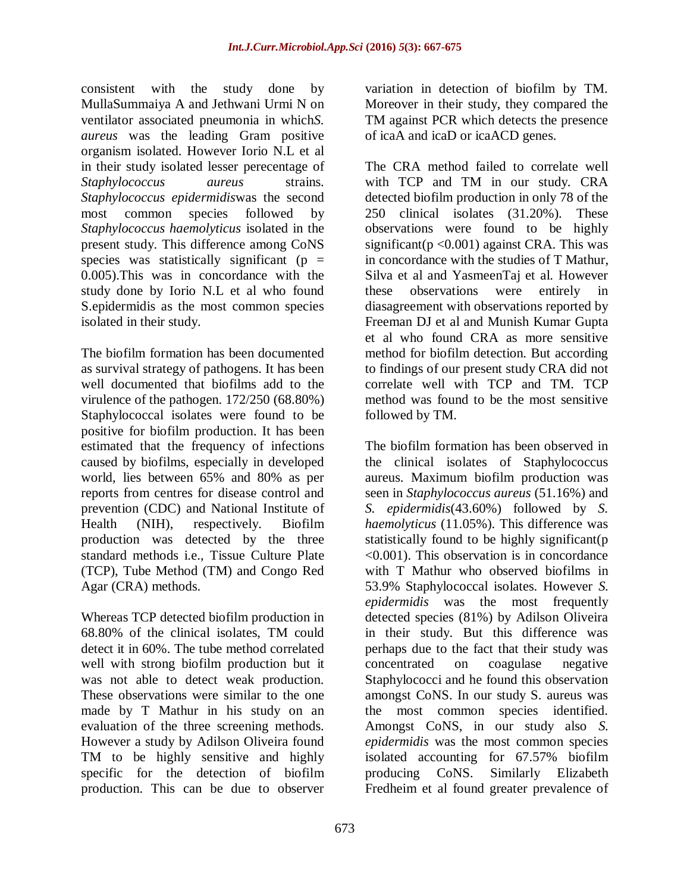consistent with the study done by MullaSummaiya A and Jethwani Urmi N on ventilator associated pneumonia in which*S. aureus* was the leading Gram positive organism isolated. However Iorio N.L et al in their study isolated lesser perecentage of *Staphylococcus aureus* strains. *Staphylococcus epidermidis*was the second most common species followed by *Staphylococcus haemolyticus* isolated in the present study. This difference among CoNS species was statistically significant ( $p =$ 0.005).This was in concordance with the study done by Iorio N.L et al who found S.epidermidis as the most common species isolated in their study.

The biofilm formation has been documented as survival strategy of pathogens. It has been well documented that biofilms add to the virulence of the pathogen. 172/250 (68.80%) Staphylococcal isolates were found to be positive for biofilm production. It has been estimated that the frequency of infections caused by biofilms, especially in developed world, lies between 65% and 80% as per reports from centres for disease control and prevention (CDC) and National Institute of Health (NIH), respectively. Biofilm production was detected by the three standard methods i.e., Tissue Culture Plate (TCP), Tube Method (TM) and Congo Red Agar (CRA) methods.

Whereas TCP detected biofilm production in 68.80% of the clinical isolates, TM could detect it in 60%. The tube method correlated well with strong biofilm production but it was not able to detect weak production. These observations were similar to the one made by T Mathur in his study on an evaluation of the three screening methods. However a study by Adilson Oliveira found TM to be highly sensitive and highly specific for the detection of biofilm production. This can be due to observer

variation in detection of biofilm by TM. Moreover in their study, they compared the TM against PCR which detects the presence of icaA and icaD or icaACD genes.

The CRA method failed to correlate well with TCP and TM in our study. CRA detected biofilm production in only 78 of the 250 clinical isolates (31.20%). These observations were found to be highly significant( $p \le 0.001$ ) against CRA. This was in concordance with the studies of T Mathur, Silva et al and YasmeenTaj et al. However these observations were entirely in diasagreement with observations reported by Freeman DJ et al and Munish Kumar Gupta et al who found CRA as more sensitive method for biofilm detection. But according to findings of our present study CRA did not correlate well with TCP and TM. TCP method was found to be the most sensitive followed by TM.

The biofilm formation has been observed in the clinical isolates of Staphylococcus aureus. Maximum biofilm production was seen in *Staphylococcus aureus* (51.16%) and *S. epidermidis*(43.60%) followed by *S. haemolyticus* (11.05%). This difference was statistically found to be highly significant(p <0.001). This observation is in concordance with T Mathur who observed biofilms in 53.9% Staphylococcal isolates. However *S. epidermidis* was the most frequently detected species (81%) by Adilson Oliveira in their study. But this difference was perhaps due to the fact that their study was concentrated on coagulase negative Staphylococci and he found this observation amongst CoNS. In our study S. aureus was the most common species identified. Amongst CoNS, in our study also *S. epidermidis* was the most common species isolated accounting for 67.57% biofilm producing CoNS. Similarly Elizabeth Fredheim et al found greater prevalence of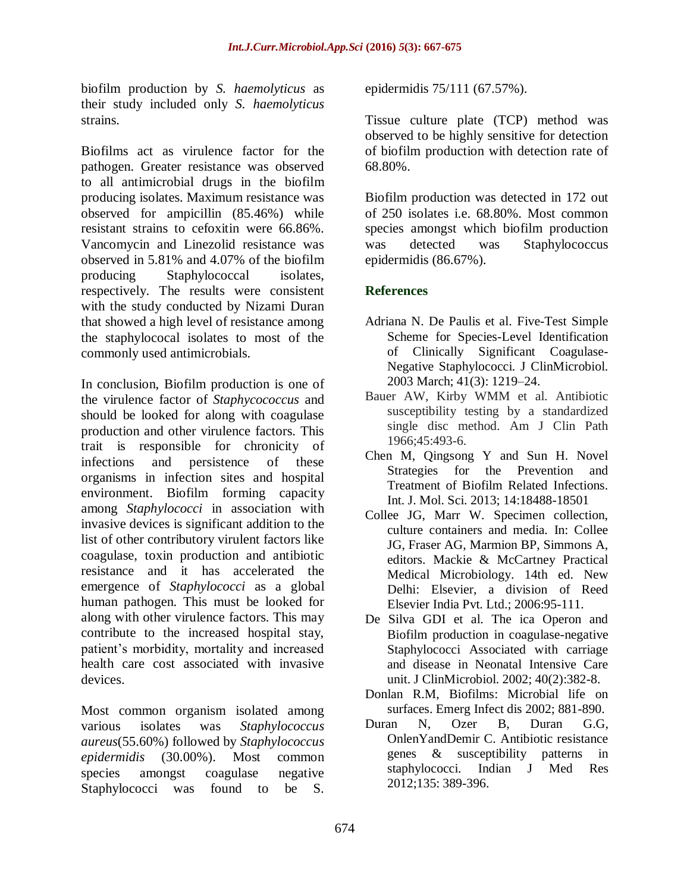biofilm production by *S. haemolyticus* as their study included only *S. haemolyticus* strains.

Biofilms act as virulence factor for the pathogen. Greater resistance was observed to all antimicrobial drugs in the biofilm producing isolates. Maximum resistance was observed for ampicillin (85.46%) while resistant strains to cefoxitin were 66.86%. Vancomycin and Linezolid resistance was observed in 5.81% and 4.07% of the biofilm producing Staphylococcal isolates, respectively. The results were consistent with the study conducted by Nizami Duran that showed a high level of resistance among the staphylococal isolates to most of the commonly used antimicrobials.

In conclusion, Biofilm production is one of the virulence factor of *Staphycococcus* and should be looked for along with coagulase production and other virulence factors. This trait is responsible for chronicity of infections and persistence of these organisms in infection sites and hospital environment. Biofilm forming capacity among *Staphylococci* in association with invasive devices is significant addition to the list of other contributory virulent factors like coagulase, toxin production and antibiotic resistance and it has accelerated the emergence of *Staphylococci* as a global human pathogen. This must be looked for along with other virulence factors. This may contribute to the increased hospital stay, patient's morbidity, mortality and increased health care cost associated with invasive devices.

Most common organism isolated among various isolates was *Staphylococcus aureus*(55.60%) followed by *Staphylococcus epidermidis* (30.00%). Most common species amongst coagulase negative Staphylococci was found to be S.

epidermidis 75/111 (67.57%).

Tissue culture plate (TCP) method was observed to be highly sensitive for detection of biofilm production with detection rate of 68.80%.

Biofilm production was detected in 172 out of 250 isolates i.e. 68.80%. Most common species amongst which biofilm production was detected was Staphylococcus epidermidis (86.67%).

## **References**

- Adriana N. De Paulis et al. Five-Test Simple Scheme for Species-Level Identification of Clinically Significant Coagulase-Negative Staphylococci. J ClinMicrobiol. 2003 March; 41(3): 1219–24.
- Bauer AW, Kirby WMM et al. Antibiotic susceptibility testing by a standardized single disc method. Am J Clin Path 1966;45:493-6.
- Chen M, Qingsong Y and Sun H. Novel Strategies for the Prevention and Treatment of Biofilm Related Infections. Int. J. Mol. Sci. 2013; 14:18488-18501
- Collee JG, Marr W. Specimen collection, culture containers and media. In: Collee JG, Fraser AG, Marmion BP, Simmons A, editors. Mackie & McCartney Practical Medical Microbiology. 14th ed. New Delhi: Elsevier, a division of Reed Elsevier India Pvt. Ltd.; 2006:95-111.
- De Silva GDI et al. The ica Operon and Biofilm production in coagulase-negative Staphylococci Associated with carriage and disease in Neonatal Intensive Care unit. J ClinMicrobiol. 2002; 40(2):382-8.
- Donlan R.M, Biofilms: Microbial life on surfaces. Emerg Infect dis 2002; 881-890.
- Duran N, Ozer B, Duran G.G, OnlenYandDemir C. Antibiotic resistance genes & susceptibility patterns in staphylococci. Indian J Med Res 2012;135: 389-396.